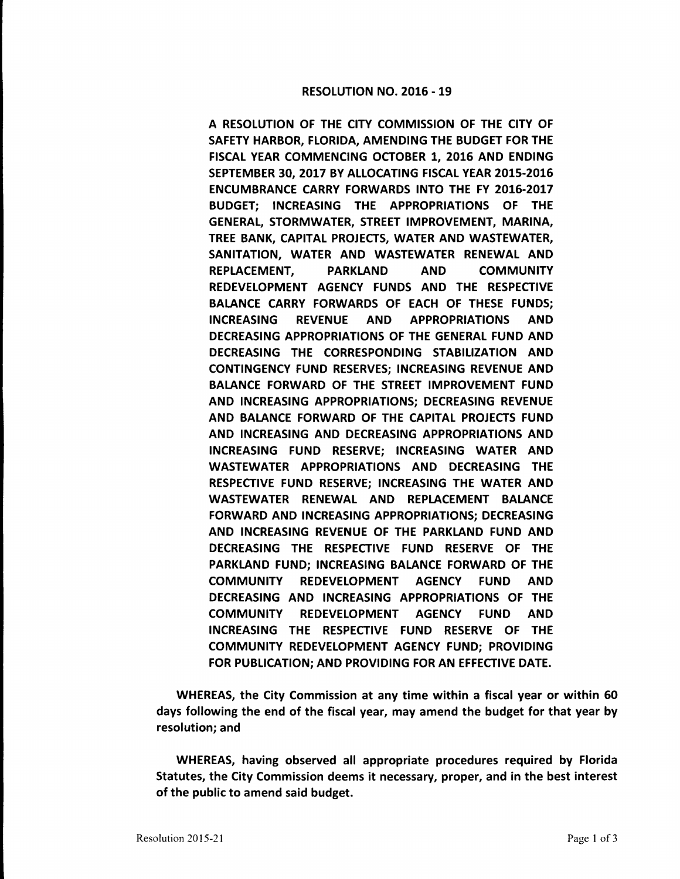## RESOLUTION NO. 2016 - 19

A RESOLUTION OF THE CITY COMMISSION OF THE CITY OF SAFETY HARBOR, FLORIDA, AMENDING THE BUDGET FOR THE FISCAL YEAR COMMENCING OCTOBER 1, 2016 AND ENDING SEPTEMBER 30, 2017 BY ALLOCATING FISCAL YEAR 2015-2016 ENCUMBRANCE CARRY FORWARDS INTO THE FY 2016-2017 BUDGET; INCREASING THE APPROPRIATIONS OF THE GENERAL, STORMWATER, STREET IMPROVEMENT, MARINA, TREE BANK, CAPITAL PROJECTS, WATER AND WASTEWATER, SANITATION, WATER AND WASTEWATER RENEWAL AND REPLACEMENT, PARKLAND AND COMMUNITY REDEVELOPMENT AGENCY FUNDS AND THE RESPECTIVE BALANCE CARRY FORWARDS OF EACH OF THESE FUNDS; INCREASING REVENUE AND APPROPRIATIONS AND DECREASING APPROPRIATIONS OF THE GENERAL FUND AND DECREASING THE CORRESPONDING STABILIZATION AND CONTINGENCY FUND RESERVES; INCREASING REVENUE AND BALANCE FORWARD OF THE STREET IMPROVEMENT FUND AND INCREASING APPROPRIATIONS; DECREASING REVENUE AND BALANCE FORWARD OF THE CAPITAL PROJECTS FUND AND INCREASING AND DECREASING APPROPRIATIONS AND INCREASING FUND RESERVE; INCREASING WATER AND WASTEWATER APPROPRIATIONS AND DECREASING THE RESPECTIVE FUND RESERVE; INCREASING THE WATER AND WASTEWATER RENEWAL AND REPLACEMENT BALANCE FORWARD AND INCREASING APPROPRIATIONS; DECREASING AND INCREASING REVENUE OF THE PARKLAND FUND AND DECREASING THE RESPECTIVE FUND RESERVE OF THE PARKLAND FUND; INCREASING BALANCE FORWARD OF THE COMMUNITY REDEVELOPMENT AGENCY FUND AND DECREASING AND INCREASING APPROPRIATIONS OF THE COMMUNITY REDEVELOPMENT AGENCY FUND AND INCREASING THE RESPECTIVE FUND RESERVE OF THE COMMUNITY REDEVELOPMENT AGENCY FUND; PROVIDING FOR PUBLICATION; AND PROVIDING FOR AN EFFECTIVE DATE.

WHEREAS, the City Commission at any time within a fiscal year or within 60 days following the end of the fiscal year, may amend the budget for that year by resolution; and

WHEREAS, having observed all appropriate procedures required by Florida Statutes, the City Commission deems it necessary, proper, and in the best interest of the public to amend said budget.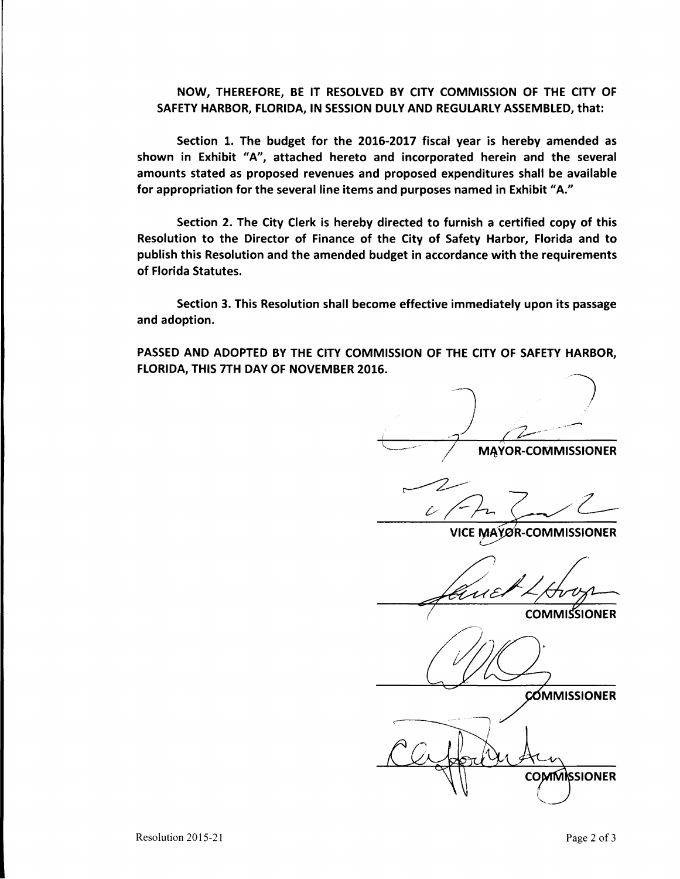## NOW, THEREFORE, BE IT RESOLVED BY CITY COMMISSION OF THE CITY OF SAFETY **HARBOR, FLORIDA, IN SESSION** DULY **AND REGULARLY ASSEMBLED,** that:

Section 1. The budget for the 2016-2017 fiscal year is hereby amended as shown in Exhibit "A", attached hereto and incorporated herein and the several amounts stated as proposed revenues and proposed expenditures shall be available for appropriation for the several line items and purposes named in Exhibit "A."

Section 2. The City Clerk is hereby directed to furnish a certified copy of this Resolution to the Director of Finance of the City of Safety Harbor, Florida and to publish this Resolution and the amended budget in accordance with the requirements of Florida Statutes.

Section 3. This Resolution shall become effective immediately upon its passage and adoption.

PASSED AND ADOPTED BY THE CITY COMMISSION OF THE CITY OF **SAFETY** HARBOR, FLORIDA, THIS 7TH DAY OF NOVEMBER 2016.

 $\overline{\bigoplus}$ \_\_ ." .. *,l* M~VOR-COMMISSIONER

 $\mathcal{L}$ 

**VICE MAYOR-COMMISSIONER** 

GU E

**COMMISSIONER** 

**COMMISSIONER** 

**COMMISSIONER**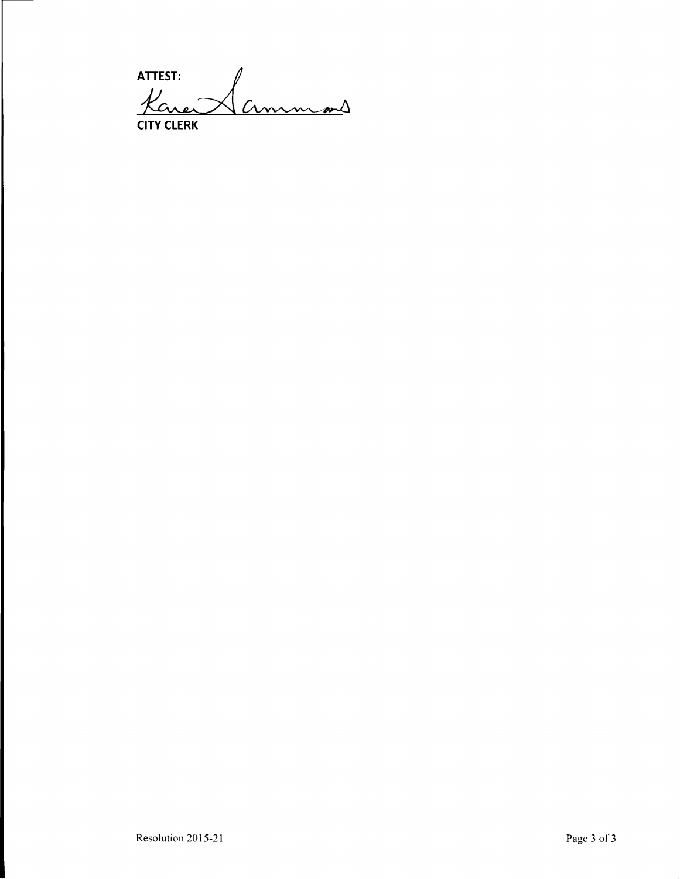ATTEST:<br>Kare Cinnem*en*s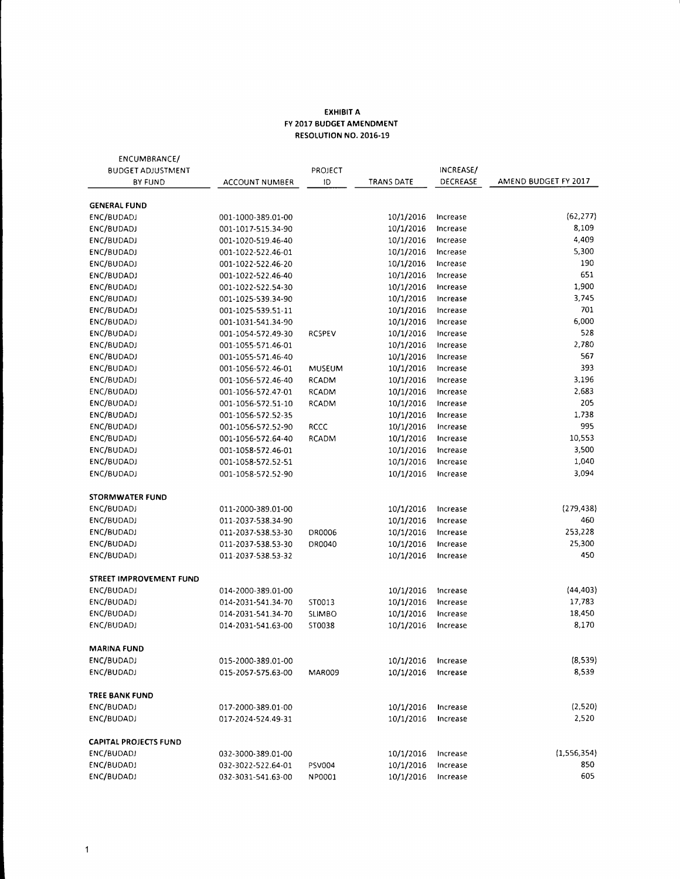## **EXHIBIT A FY 2017 BUDGET AMENDMENT RESOLUTION NO. 2016-19**

| ENCUMBRANCE/                 |                    |               |            |           |                      |  |
|------------------------------|--------------------|---------------|------------|-----------|----------------------|--|
| <b>BUDGET ADJUSTMENT</b>     |                    | PROJECT       |            | INCREASE/ |                      |  |
| BY FUND                      | ACCOUNT NUMBER     | ID            | TRANS DATE | DECREASE  | AMEND BUDGET FY 2017 |  |
| <b>GENERAL FUND</b>          |                    |               |            |           |                      |  |
| ENC/BUDADJ                   | 001-1000-389.01-00 |               | 10/1/2016  | Increase  | (62, 277)            |  |
| ENC/BUDADJ                   | 001-1017-515.34-90 |               | 10/1/2016  | Increase  | 8,109                |  |
| ENC/BUDADJ                   | 001-1020-519.46-40 |               | 10/1/2016  | Increase  | 4,409                |  |
| ENC/BUDADJ                   | 001-1022-522.46-01 |               | 10/1/2016  | Increase  | 5,300                |  |
| ENC/BUDADJ                   | 001-1022-522.46-20 |               | 10/1/2016  | Increase  | 190                  |  |
| ENC/BUDADJ                   | 001-1022-522.46-40 |               | 10/1/2016  | Increase  | 651                  |  |
| ENC/BUDADJ                   | 001-1022-522.54-30 |               | 10/1/2016  | Increase  | 1,900                |  |
| ENC/BUDADJ                   | 001-1025-539.34-90 |               | 10/1/2016  | Increase  | 3,745                |  |
| ENC/BUDADJ                   | 001-1025-539.51-11 |               | 10/1/2016  | Increase  | 701                  |  |
| ENC/BUDADJ                   | 001-1031-541.34-90 |               | 10/1/2016  | Increase  | 6,000                |  |
| ENC/BUDADJ                   | 001-1054-572.49-30 | <b>RCSPEV</b> | 10/1/2016  | Increase  | 528                  |  |
| ENC/BUDADJ                   | 001-1055-571.46-01 |               | 10/1/2016  | Increase  | 2,780                |  |
| ENC/BUDADJ                   | 001-1055-571.46-40 |               | 10/1/2016  | Increase  | 567                  |  |
| ENC/BUDADJ                   | 001-1056-572.46-01 | <b>MUSEUM</b> | 10/1/2016  | Increase  | 393                  |  |
| ENC/BUDADJ                   | 001-1056-572.46-40 | RCADM         | 10/1/2016  | Increase  | 3,196                |  |
| ENC/BUDADJ                   | 001-1056-572.47-01 | RCADM         | 10/1/2016  | Increase  | 2,683                |  |
| ENC/BUDADJ                   | 001-1056-572.51-10 | RCADM         | 10/1/2016  | Increase  | 205                  |  |
| ENC/BUDADJ                   | 001-1056-572.52-35 |               | 10/1/2016  | Increase  | 1,738                |  |
| ENC/BUDADJ                   | 001-1056-572.52-90 | <b>RCCC</b>   | 10/1/2016  | Increase  | 995                  |  |
| ENC/BUDADJ                   | 001-1056-572.64-40 | <b>RCADM</b>  | 10/1/2016  | Increase  | 10,553               |  |
| ENC/BUDADJ                   | 001-1058-572.46-01 |               | 10/1/2016  | Increase  | 3,500                |  |
| ENC/BUDADJ                   | 001-1058-572.52-51 |               | 10/1/2016  | Increase  | 1,040                |  |
| ENC/BUDADJ                   | 001-1058-572.52-90 |               | 10/1/2016  | Increase  | 3,094                |  |
| STORMWATER FUND              |                    |               |            |           |                      |  |
| ENC/BUDADJ                   | 011-2000-389.01-00 |               | 10/1/2016  | Increase  | (279, 438)           |  |
| ENC/BUDADJ                   | 011-2037-538.34-90 |               | 10/1/2016  | Increase  | 460                  |  |
| ENC/BUDADJ                   | 011-2037-538.53-30 | DR0006        | 10/1/2016  | Increase  | 253,228              |  |
| ENC/BUDADJ                   | 011-2037-538.53-30 | DR0040        | 10/1/2016  | Increase  | 25,300               |  |
| ENC/BUDADJ                   | 011-2037-538.53-32 |               | 10/1/2016  | Increase  | 450                  |  |
| STREET IMPROVEMENT FUND      |                    |               |            |           |                      |  |
| ENC/BUDADJ                   | 014-2000-389.01-00 |               | 10/1/2016  | Increase  | (44, 403)            |  |
| ENC/BUDADJ                   | 014-2031-541.34-70 | ST0013        | 10/1/2016  | Increase  | 17,783               |  |
| ENC/BUDADJ                   | 014-2031-541.34-70 | <b>SLIMBO</b> | 10/1/2016  | Increase  | 18,450               |  |
| ENC/BUDADJ                   | 014-2031-541.63-00 | ST0038        | 10/1/2016  | Increase  | 8,170                |  |
| MARINA FUND                  |                    |               |            |           |                      |  |
| ENC/BUDADJ                   | 015-2000-389.01-00 |               | 10/1/2016  | Increase  | (8,539)              |  |
| ENC/BUDADJ                   | 015-2057-575.63-00 | MAR009        | 10/1/2016  | Increase  | 8,539                |  |
| TREE BANK FUND               |                    |               |            |           |                      |  |
| ENC/BUDADJ                   | 017-2000-389.01-00 |               | 10/1/2016  | Increase  | (2,520)              |  |
| ENC/BUDADJ                   | 017-2024-524.49-31 |               | 10/1/2016  | Increase  | 2,520                |  |
| <b>CAPITAL PROJECTS FUND</b> |                    |               |            |           |                      |  |
| ENC/BUDADJ                   | 032-3000-389.01-00 |               | 10/1/2016  | Increase  | (1,556,354)          |  |
| ENC/BUDADJ                   | 032-3022-522.64-01 | PSV004        | 10/1/2016  | Increase  | 850                  |  |
| ENC/BUDADJ                   | 032-3031-541.63-00 | NP0001        | 10/1/2016  | Increase  | 605                  |  |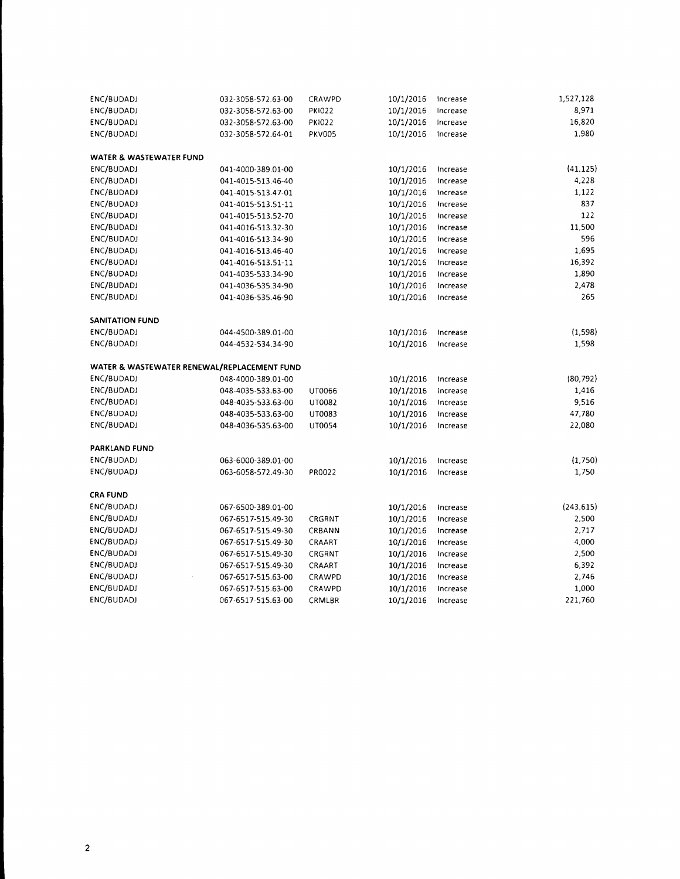| ENC/BUDADJ              | 032-3058-572.63-00                          | CRAWPD        | 10/1/2016 | Increase | 1,527,128  |
|-------------------------|---------------------------------------------|---------------|-----------|----------|------------|
| ENC/BUDADJ              | 032-3058-572.63-00                          | <b>PKI022</b> | 10/1/2016 | Increase | 8,971      |
| ENC/BUDADJ              | 032-3058-572.63-00                          | <b>PKI022</b> | 10/1/2016 | Increase | 16,820     |
| ENC/BUDADJ              | 032-3058-572.64-01                          | <b>PKV005</b> | 10/1/2016 | Increase | 1,980      |
| WATER & WASTEWATER FUND |                                             |               |           |          |            |
| ENC/BUDADJ              | 041-4000-389.01-00                          |               | 10/1/2016 | Increase | (41, 125)  |
| ENC/BUDADJ              | 041-4015-513.46-40                          |               | 10/1/2016 | Increase | 4,228      |
| ENC/BUDADJ              | 041-4015-513.47-01                          |               | 10/1/2016 | Increase | 1,122      |
| ENC/BUDADJ              | 041-4015-513.51-11                          |               | 10/1/2016 | Increase | 837        |
| ENC/BUDADJ              | 041-4015-513.52-70                          |               | 10/1/2016 | Increase | 122        |
| ENC/BUDADJ              | 041-4016-513.32-30                          |               | 10/1/2016 | Increase | 11,500     |
| ENC/BUDADJ              | 041-4016-513.34-90                          |               | 10/1/2016 | Increase | 596        |
| ENC/BUDADJ              | 041-4016-513.46-40                          |               | 10/1/2016 | Increase | 1,695      |
| ENC/BUDADJ              | 041-4016-513.51-11                          |               | 10/1/2016 | Increase | 16,392     |
| ENC/BUDADJ              | 041-4035-533.34-90                          |               | 10/1/2016 | Increase | 1,890      |
| ENC/BUDADJ              | 041-4036-535.34-90                          |               | 10/1/2016 | Increase | 2,478      |
| ENC/BUDADJ              | 041-4036-535.46-90                          |               | 10/1/2016 | Increase | 265        |
| <b>SANITATION FUND</b>  |                                             |               |           |          |            |
| ENC/BUDADJ              | 044-4500-389.01-00                          |               | 10/1/2016 | Increase | (1, 598)   |
| ENC/BUDADJ              | 044-4532-534.34-90                          |               | 10/1/2016 | Increase | 1,598      |
|                         | WATER & WASTEWATER RENEWAL/REPLACEMENT FUND |               |           |          |            |
| ENC/BUDADJ              | 048-4000-389.01-00                          |               | 10/1/2016 | Increase | (80, 792)  |
| ENC/BUDADJ              | 048-4035-533.63-00                          | UT0066        | 10/1/2016 | Increase | 1,416      |
| ENC/BUDADJ              | 048-4035-533.63-00                          | UT0082        | 10/1/2016 | Increase | 9,516      |
| ENC/BUDADJ              | 048-4035-533.63-00                          | UT0083        | 10/1/2016 | Increase | 47,780     |
| ENC/BUDADJ              | 048-4036-535.63-00                          | UT0054        | 10/1/2016 | Increase | 22,080     |
| <b>PARKLAND FUND</b>    |                                             |               |           |          |            |
| ENC/BUDADJ              | 063-6000-389.01-00                          |               | 10/1/2016 | Increase | (1,750)    |
| ENC/BUDADJ              | 063-6058-572.49-30                          | PR0022        | 10/1/2016 | Increase | 1,750      |
| <b>CRA FUND</b>         |                                             |               |           |          |            |
| ENC/BUDADJ              | 067-6500-389.01-00                          |               | 10/1/2016 | Increase | (243, 615) |
| ENC/BUDADJ              | 067-6517-515.49-30                          | CRGRNT        | 10/1/2016 | Increase | 2,500      |
| ENC/BUDADJ              | 067-6517-515.49-30                          | CRBANN        | 10/1/2016 | Increase | 2,717      |
| ENC/BUDADJ              | 067-6517-515.49-30                          | CRAART        | 10/1/2016 | Increase | 4,000      |
| ENC/BUDADJ              | 067-6517-515.49-30                          | CRGRNT        | 10/1/2016 | Increase | 2,500      |
| ENC/BUDADJ              | 067-6517-515.49-30                          | CRAART        | 10/1/2016 | Increase | 6,392      |
| ENC/BUDADJ              | 067-6517-515.63-00                          | CRAWPD        | 10/1/2016 | Increase | 2,746      |
| ENC/BUDADJ              | 067-6517-515.63-00                          | CRAWPD        | 10/1/2016 | Increase | 1,000      |
| ENC/BUDADJ              | 067-6517-515.63-00                          | CRMLBR        | 10/1/2016 | Increase | 221,760    |